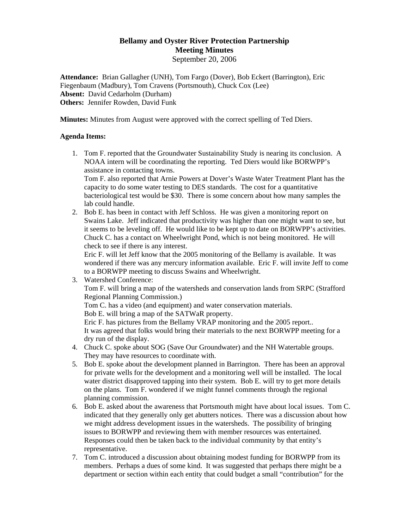## **Bellamy and Oyster River Protection Partnership Meeting Minutes** September 20, 2006

**Attendance:** Brian Gallagher (UNH), Tom Fargo (Dover), Bob Eckert (Barrington), Eric Fiegenbaum (Madbury), Tom Cravens (Portsmouth), Chuck Cox (Lee) **Absent:** David Cedarholm (Durham) **Others:** Jennifer Rowden, David Funk

**Minutes:** Minutes from August were approved with the correct spelling of Ted Diers.

## **Agenda Items:**

1. Tom F. reported that the Groundwater Sustainability Study is nearing its conclusion. A NOAA intern will be coordinating the reporting. Ted Diers would like BORWPP's assistance in contacting towns.

Tom F. also reported that Arnie Powers at Dover's Waste Water Treatment Plant has the capacity to do some water testing to DES standards. The cost for a quantitative bacteriological test would be \$30. There is some concern about how many samples the lab could handle.

2. Bob E. has been in contact with Jeff Schloss. He was given a monitoring report on Swains Lake. Jeff indicated that productivity was higher than one might want to see, but it seems to be leveling off. He would like to be kept up to date on BORWPP's activities. Chuck C. has a contact on Wheelwright Pond, which is not being monitored. He will check to see if there is any interest.

Eric F. will let Jeff know that the 2005 monitoring of the Bellamy is available. It was wondered if there was any mercury information available. Eric F. will invite Jeff to come to a BORWPP meeting to discuss Swains and Wheelwright.

3. Watershed Conference:

Tom F. will bring a map of the watersheds and conservation lands from SRPC (Strafford Regional Planning Commission.)

Tom C. has a video (and equipment) and water conservation materials.

Bob E. will bring a map of the SATWaR property.

Eric F. has pictures from the Bellamy VRAP monitoring and the 2005 report.. It was agreed that folks would bring their materials to the next BORWPP meeting for a dry run of the display.

- 4. Chuck C. spoke about SOG (Save Our Groundwater) and the NH Watertable groups. They may have resources to coordinate with.
- 5. Bob E. spoke about the development planned in Barrington. There has been an approval for private wells for the development and a monitoring well will be installed. The local water district disapproved tapping into their system. Bob E. will try to get more details on the plans. Tom F. wondered if we might funnel comments through the regional planning commission.
- 6. Bob E. asked about the awareness that Portsmouth might have about local issues. Tom C. indicated that they generally only get abutters notices. There was a discussion about how we might address development issues in the watersheds. The possibility of bringing issues to BORWPP and reviewing them with member resources was entertained. Responses could then be taken back to the individual community by that entity's representative.
- 7. Tom C. introduced a discussion about obtaining modest funding for BORWPP from its members. Perhaps a dues of some kind. It was suggested that perhaps there might be a department or section within each entity that could budget a small "contribution" for the